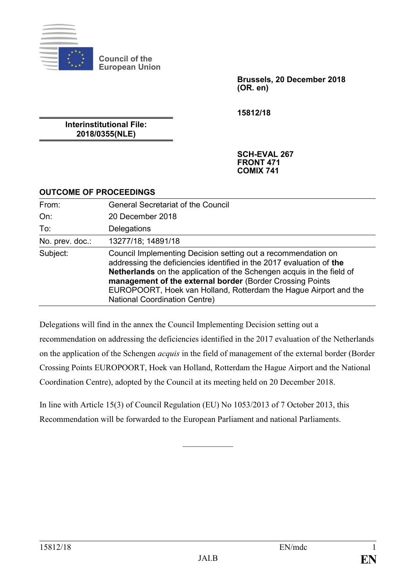

**Council of the European Union**

> **Brussels, 20 December 2018 (OR. en)**

**15812/18**

**Interinstitutional File: 2018/0355(NLE)**

> **SCH-EVAL 267 FRONT 471 COMIX 741**

# **OUTCOME OF PROCEEDINGS**

| From:           | <b>General Secretariat of the Council</b>                                                                                                                                                                                                                                                                                                                                               |
|-----------------|-----------------------------------------------------------------------------------------------------------------------------------------------------------------------------------------------------------------------------------------------------------------------------------------------------------------------------------------------------------------------------------------|
| On:             | 20 December 2018                                                                                                                                                                                                                                                                                                                                                                        |
| To:             | Delegations                                                                                                                                                                                                                                                                                                                                                                             |
| No. prev. doc.: | 13277/18; 14891/18                                                                                                                                                                                                                                                                                                                                                                      |
| Subject:        | Council Implementing Decision setting out a recommendation on<br>addressing the deficiencies identified in the 2017 evaluation of the<br>Netherlands on the application of the Schengen acquis in the field of<br>management of the external border (Border Crossing Points<br>EUROPOORT, Hoek van Holland, Rotterdam the Hague Airport and the<br><b>National Coordination Centre)</b> |

Delegations will find in the annex the Council Implementing Decision setting out a recommendation on addressing the deficiencies identified in the 2017 evaluation of the Netherlands on the application of the Schengen *acquis* in the field of management of the external border (Border Crossing Points EUROPOORT, Hoek van Holland, Rotterdam the Hague Airport and the National Coordination Centre), adopted by the Council at its meeting held on 20 December 2018.

 $\mathcal{L}_\text{max}$ 

In line with Article 15(3) of Council Regulation (EU) No 1053/2013 of 7 October 2013, this Recommendation will be forwarded to the European Parliament and national Parliaments.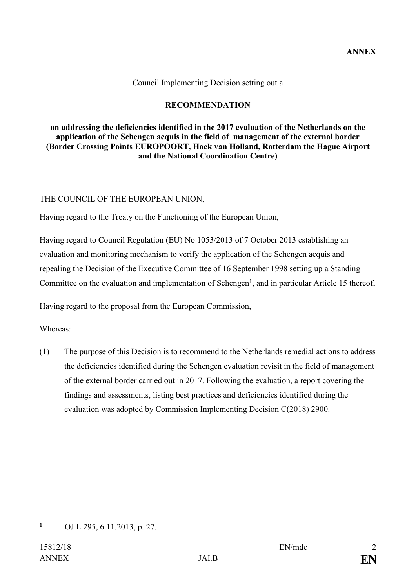Council Implementing Decision setting out a

### **RECOMMENDATION**

#### **on addressing the deficiencies identified in the 2017 evaluation of the Netherlands on the application of the Schengen acquis in the field of management of the external border (Border Crossing Points EUROPOORT, Hoek van Holland, Rotterdam the Hague Airport and the National Coordination Centre)**

# THE COUNCIL OF THE EUROPEAN UNION,

Having regard to the Treaty on the Functioning of the European Union,

Having regard to Council Regulation (EU) No 1053/2013 of 7 October 2013 establishing an evaluation and monitoring mechanism to verify the application of the Schengen acquis and repealing the Decision of the Executive Committee of 16 September 1998 setting up a Standing Committee on the evaluation and implementation of Schengen**<sup>1</sup>** , and in particular Article 15 thereof,

Having regard to the proposal from the European Commission,

Whereas:

(1) The purpose of this Decision is to recommend to the Netherlands remedial actions to address the deficiencies identified during the Schengen evaluation revisit in the field of management of the external border carried out in 2017. Following the evaluation, a report covering the findings and assessments, listing best practices and deficiencies identified during the evaluation was adopted by Commission Implementing Decision C(2018) 2900.

<sup>1</sup> **<sup>1</sup>** OJ L 295, 6.11.2013, p. 27.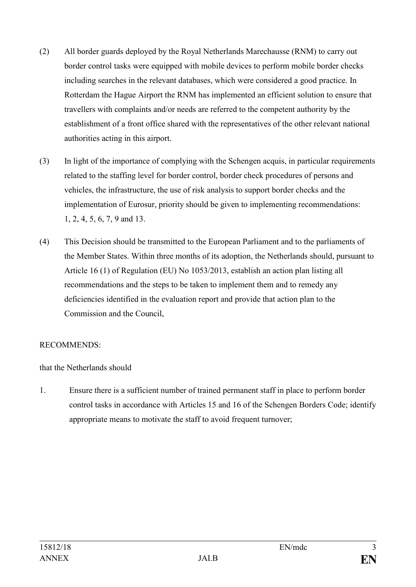- (2) All border guards deployed by the Royal Netherlands Marechausse (RNM) to carry out border control tasks were equipped with mobile devices to perform mobile border checks including searches in the relevant databases, which were considered a good practice. In Rotterdam the Hague Airport the RNM has implemented an efficient solution to ensure that travellers with complaints and/or needs are referred to the competent authority by the establishment of a front office shared with the representatives of the other relevant national authorities acting in this airport.
- (3) In light of the importance of complying with the Schengen acquis, in particular requirements related to the staffing level for border control, border check procedures of persons and vehicles, the infrastructure, the use of risk analysis to support border checks and the implementation of Eurosur, priority should be given to implementing recommendations: 1, 2, 4, 5, 6, 7, 9 and 13.
- (4) This Decision should be transmitted to the European Parliament and to the parliaments of the Member States. Within three months of its adoption, the Netherlands should, pursuant to Article 16 (1) of Regulation (EU) No 1053/2013, establish an action plan listing all recommendations and the steps to be taken to implement them and to remedy any deficiencies identified in the evaluation report and provide that action plan to the Commission and the Council,

# RECOMMENDS:

that the Netherlands should

1. Ensure there is a sufficient number of trained permanent staff in place to perform border control tasks in accordance with Articles 15 and 16 of the Schengen Borders Code; identify appropriate means to motivate the staff to avoid frequent turnover;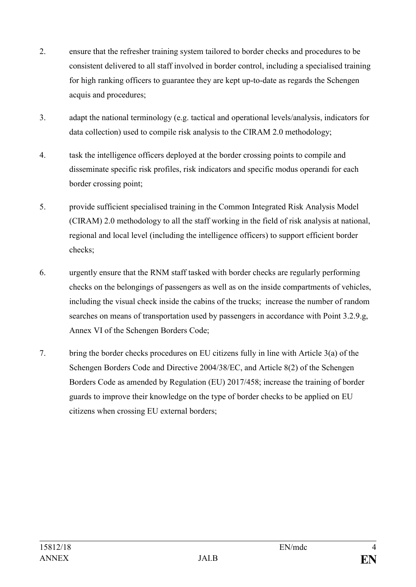- 2. ensure that the refresher training system tailored to border checks and procedures to be consistent delivered to all staff involved in border control, including a specialised training for high ranking officers to guarantee they are kept up-to-date as regards the Schengen acquis and procedures;
- 3. adapt the national terminology (e.g. tactical and operational levels/analysis, indicators for data collection) used to compile risk analysis to the CIRAM 2.0 methodology;
- 4. task the intelligence officers deployed at the border crossing points to compile and disseminate specific risk profiles, risk indicators and specific modus operandi for each border crossing point;
- 5. provide sufficient specialised training in the Common Integrated Risk Analysis Model (CIRAM) 2.0 methodology to all the staff working in the field of risk analysis at national, regional and local level (including the intelligence officers) to support efficient border checks;
- 6. urgently ensure that the RNM staff tasked with border checks are regularly performing checks on the belongings of passengers as well as on the inside compartments of vehicles, including the visual check inside the cabins of the trucks; increase the number of random searches on means of transportation used by passengers in accordance with Point 3.2.9.g, Annex VI of the Schengen Borders Code;
- 7. bring the border checks procedures on EU citizens fully in line with Article 3(a) of the Schengen Borders Code and Directive 2004/38/EC, and Article 8(2) of the Schengen Borders Code as amended by Regulation (EU) 2017/458; increase the training of border guards to improve their knowledge on the type of border checks to be applied on EU citizens when crossing EU external borders;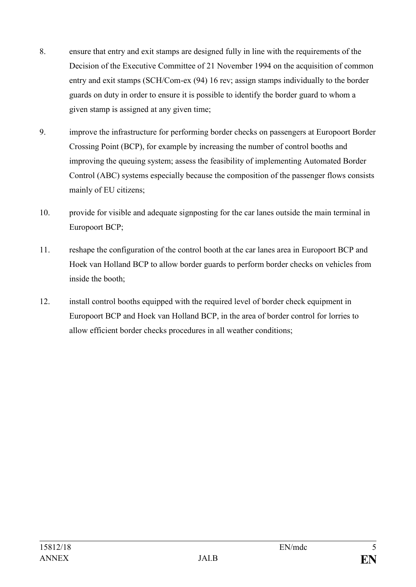- 8. ensure that entry and exit stamps are designed fully in line with the requirements of the Decision of the Executive Committee of 21 November 1994 on the acquisition of common entry and exit stamps (SCH/Com-ex (94) 16 rev; assign stamps individually to the border guards on duty in order to ensure it is possible to identify the border guard to whom a given stamp is assigned at any given time;
- 9. improve the infrastructure for performing border checks on passengers at Europoort Border Crossing Point (BCP), for example by increasing the number of control booths and improving the queuing system; assess the feasibility of implementing Automated Border Control (ABC) systems especially because the composition of the passenger flows consists mainly of EU citizens;
- 10. provide for visible and adequate signposting for the car lanes outside the main terminal in Europoort BCP;
- 11. reshape the configuration of the control booth at the car lanes area in Europoort BCP and Hoek van Holland BCP to allow border guards to perform border checks on vehicles from inside the booth;
- 12. install control booths equipped with the required level of border check equipment in Europoort BCP and Hoek van Holland BCP, in the area of border control for lorries to allow efficient border checks procedures in all weather conditions;